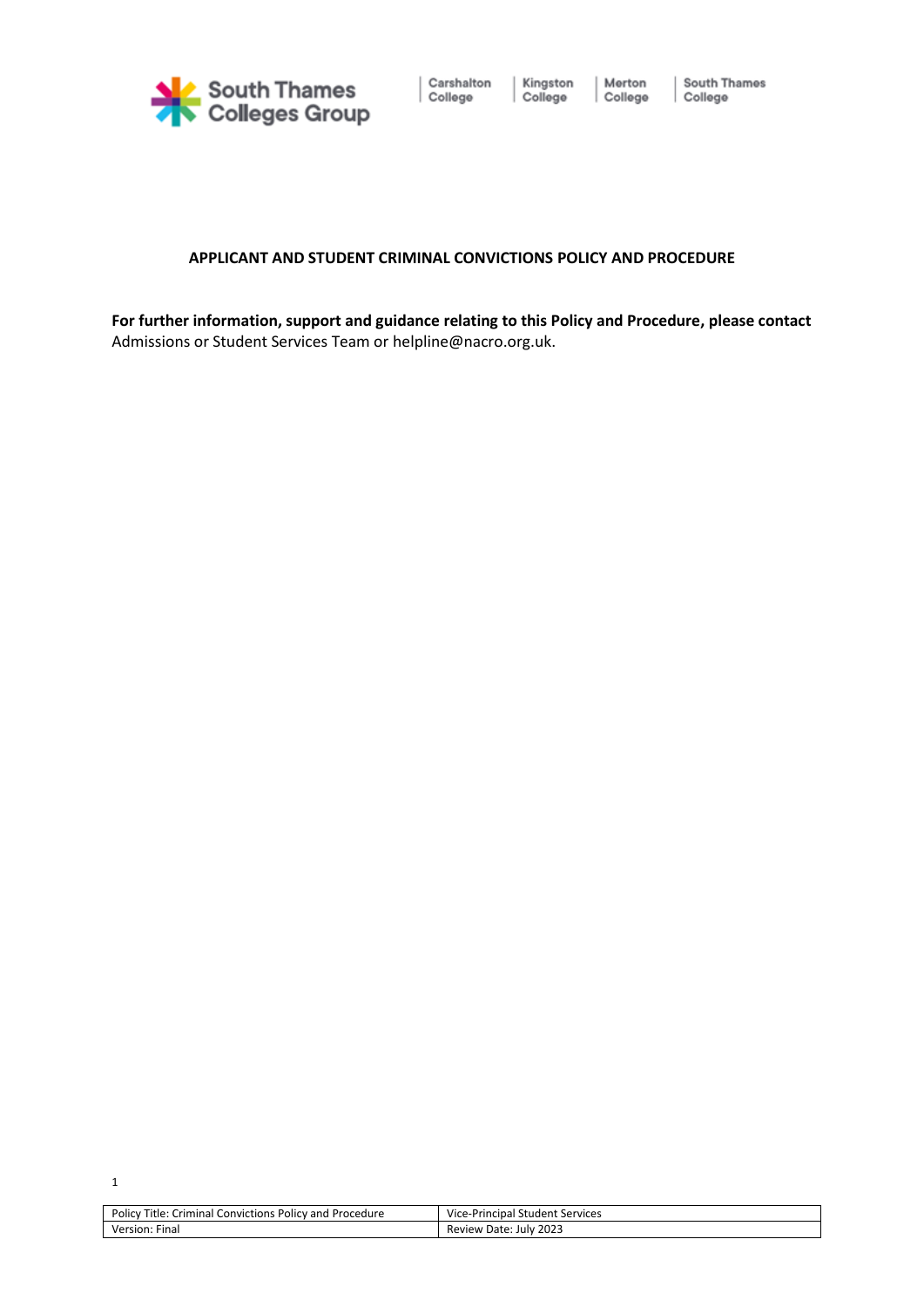

### **APPLICANT AND STUDENT CRIMINAL CONVICTIONS POLICY AND PROCEDURE**

**For further information, support and guidance relating to this Policy and Procedure, please contact** Admissions or Student Services Team or [helpline@nacro.org.uk.](mailto:resettlement.helpline@nacro.org.uk)

| Title:<br>Policy<br>Crim<br>Procedure<br>Policy and<br>. Convictions<br>ninal | Vice-.<br>Services<br>e-Principal<br>…student " |
|-------------------------------------------------------------------------------|-------------------------------------------------|
| --<br>Versior<br>Fina.                                                        | 2023<br>Date:<br>Review<br>Julv                 |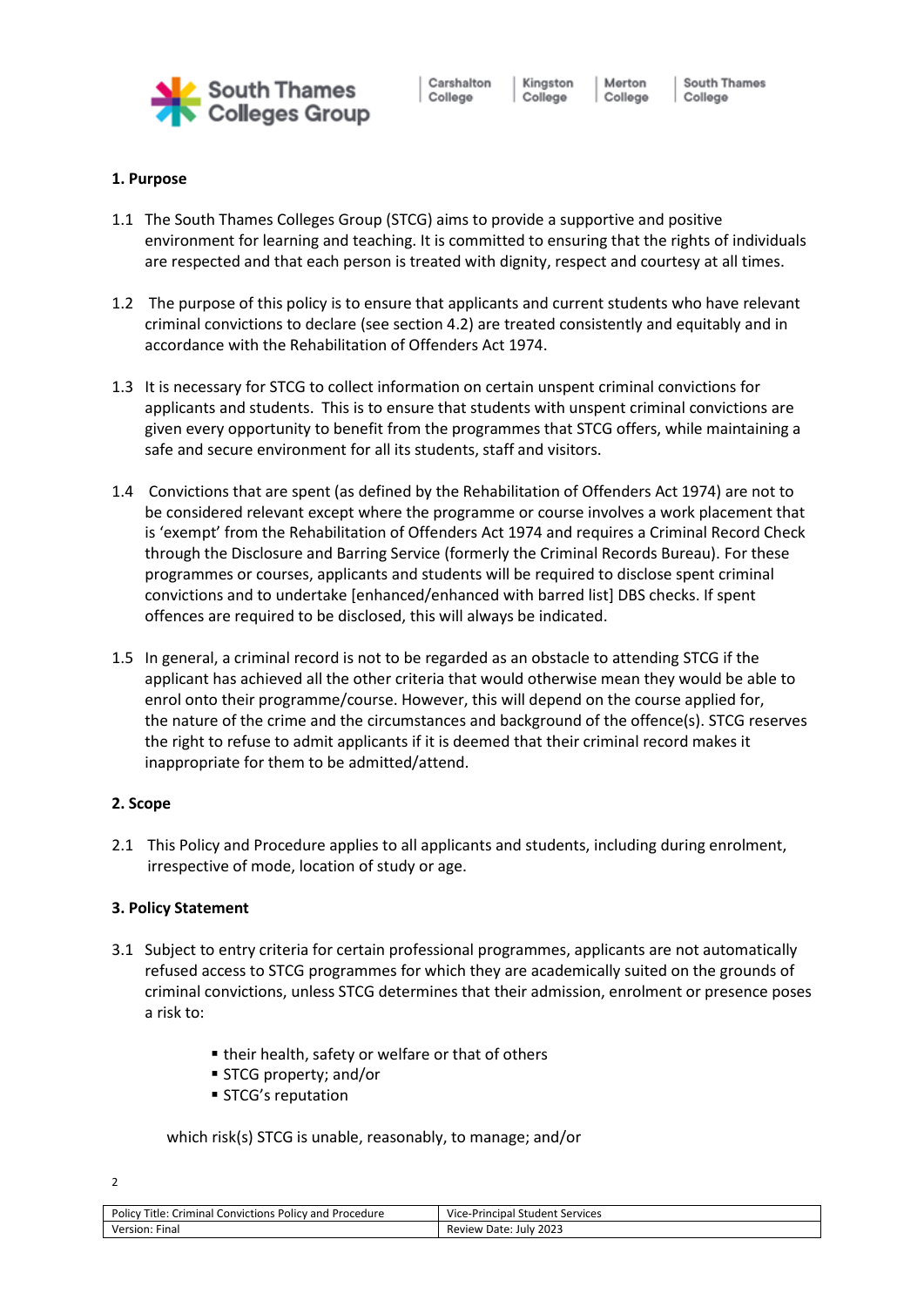

Carshalton College

Kingston Merton College College

South Thames College

# **1. Purpose**

- 1.1 The South Thames Colleges Group (STCG) aims to provide a supportive and positive environment for learning and teaching. It is committed to ensuring that the rights of individuals are respected and that each person is treated with dignity, respect and courtesy at all times.
- 1.2 The purpose of this policy is to ensure that applicants and current students who have relevant criminal convictions to declare (see section 4.2) are treated consistently and equitably and in accordance with the Rehabilitation of Offenders Act 1974.
- 1.3 It is necessary for STCG to collect information on certain unspent criminal convictions for applicants and students. This is to ensure that students with unspent criminal convictions are given every opportunity to benefit from the programmes that STCG offers, while maintaining a safe and secure environment for all its students, staff and visitors.
- 1.4 Convictions that are spent (as defined by the Rehabilitation of Offenders Act 1974) are not to be considered relevant except where the programme or course involves a work placement that is 'exempt' from the Rehabilitation of Offenders Act 1974 and requires a Criminal Record Check through the Disclosure and Barring Service (formerly the Criminal Records Bureau). For these programmes or courses, applicants and students will be required to disclose spent criminal convictions and to undertake [enhanced/enhanced with barred list] DBS checks. If spent offences are required to be disclosed, this will always be indicated.
- 1.5 In general, a criminal record is not to be regarded as an obstacle to attending STCG if the applicant has achieved all the other criteria that would otherwise mean they would be able to enrol onto their programme/course. However, this will depend on the course applied for, the nature of the crime and the circumstances and background of the offence(s). STCG reserves the right to refuse to admit applicants if it is deemed that their criminal record makes it inappropriate for them to be admitted/attend.

## **2. Scope**

2.1 This Policy and Procedure applies to all applicants and students, including during enrolment, irrespective of mode, location of study or age.

### **3. Policy Statement**

- 3.1 Subject to entry criteria for certain professional programmes, applicants are not automatically refused access to STCG programmes for which they are academically suited on the grounds of criminal convictions, unless STCG determines that their admission, enrolment or presence poses a risk to:
	- their health, safety or welfare or that of others
	- STCG property; and/or
	- STCG's reputation

which risk(s) STCG is unable, reasonably, to manage; and/or

| Policy<br>Criminal<br>Convictions Policy and<br>Title:<br>Procedure | Vice-Principal Student Services |
|---------------------------------------------------------------------|---------------------------------|
| Version.<br>Final                                                   | 2023<br>July<br>Review<br>Date: |

 $\overline{2}$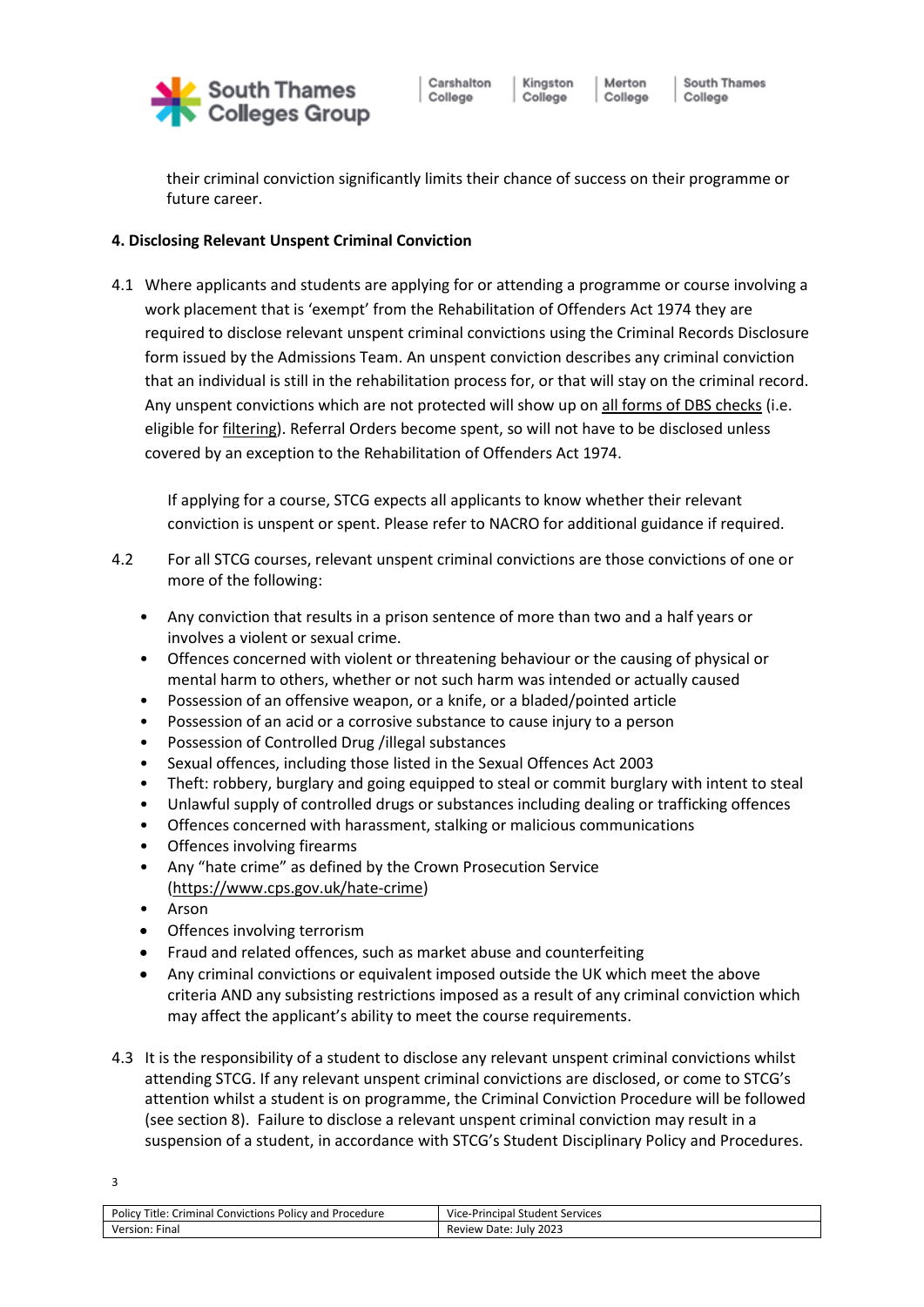

Kingston

College

their criminal conviction significantly limits their chance of success on their programme or future career.

## **4. Disclosing Relevant Unspent Criminal Conviction**

4.1 Where applicants and students are applying for or attending a programme or course involving a work placement that is 'exempt' from the Rehabilitation of Offenders Act 1974 they are required to disclose relevant unspent criminal convictions using the Criminal Records Disclosure form issued by the Admissions Team. An unspent conviction describes any criminal conviction that an individual is still in the rehabilitation process for, or that will stay on the criminal record. Any unspent convictions which are not protected will show up on [all forms of DBS checks](https://www.onlinedbschecks.co.uk/dbs-check/) (i.e. eligible for [filtering\)](https://3bx16p38bchl32s0e12di03h-wpengine.netdna-ssl.com/wp-content/uploads/2014/06/practical-guidance-on-dbs-filtering.pdf). Referral Orders become spent, so will not have to be disclosed unless covered by an exception to the Rehabilitation of Offenders Act 1974.

If applying for a course, STCG expects all applicants to know whether their relevant conviction is unspent or spent. Please refer to NACRO for additional guidance if required.

- 4.2 For all STCG courses, relevant unspent criminal convictions are those convictions of one or more of the following:
	- Any conviction that results in a prison sentence of more than two and a half years or involves a violent or sexual crime.
	- Offences concerned with violent or threatening behaviour or the causing of physical or mental harm to others, whether or not such harm was intended or actually caused
	- Possession of an offensive weapon, or a knife, or a bladed/pointed article
	- Possession of an acid or a corrosive substance to cause injury to a person
	- Possession of Controlled Drug /illegal substances
	- Sexual offences, including those listed in the Sexual Offences Act 2003
	- Theft: robbery, burglary and going equipped to steal or commit burglary with intent to steal
	- Unlawful supply of controlled drugs or substances including dealing or trafficking offences
	- Offences concerned with harassment, stalking or malicious communications
	- Offences involving firearms
	- Any "hate crime" as defined by the Crown Prosecution Service [\(https://www.cps.gov.uk/hate-crime\)](https://www.cps.gov.uk/hate-crime)
	- Arson
	- Offences involving terrorism
	- Fraud and related offences, such as market abuse and counterfeiting
	- Any criminal convictions or equivalent imposed outside the UK which meet the above criteria AND any subsisting restrictions imposed as a result of any criminal conviction which may affect the applicant's ability to meet the course requirements.
- 4.3 It is the responsibility of a student to disclose any relevant unspent criminal convictions whilst attending STCG. If any relevant unspent criminal convictions are disclosed, or come to STCG's attention whilst a student is on programme, the Criminal Conviction Procedure will be followed (see section 8). Failure to disclose a relevant unspent criminal conviction may result in a suspension of a student, in accordance with STCG's Student Disciplinary Policy and Procedures.

| Policy<br>Title: 0<br>Criminal<br>Convictions<br>! Procedure<br>; Policy and | Vice-P<br>Principal Student Services |
|------------------------------------------------------------------------------|--------------------------------------|
| Version<br>⊦ınal                                                             | 2023<br>Review<br>Date: July         |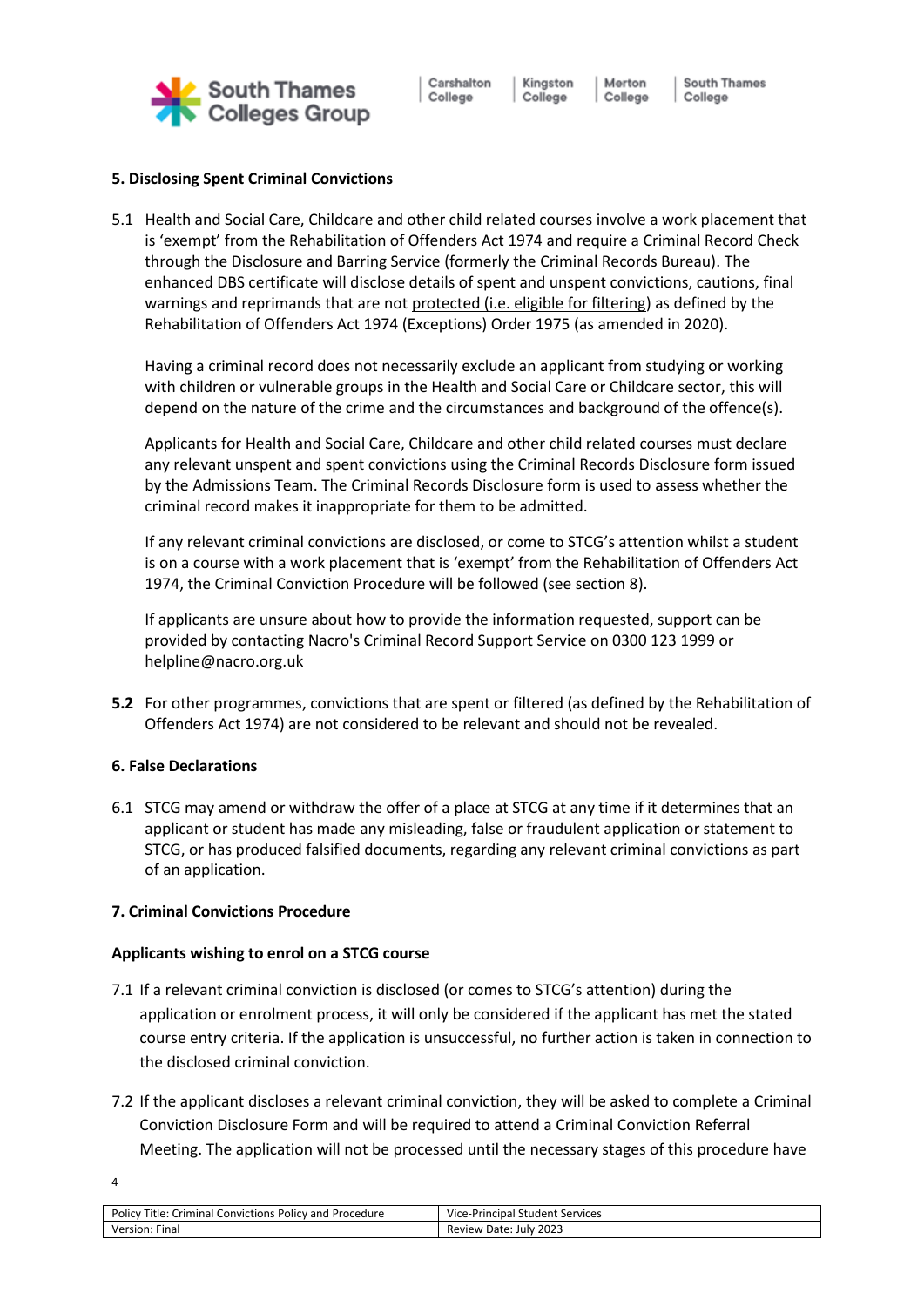

Kingston Merton College College

# **5. Disclosing Spent Criminal Convictions**

5.1 Health and Social Care, Childcare and other child related courses involve a work placement that is 'exempt' from the Rehabilitation of Offenders Act 1974 and require a Criminal Record Check through the Disclosure and Barring Service (formerly the Criminal Records Bureau). The enhanced DBS certificate will disclose details of spent and unspent convictions, cautions, final warnings and reprimands that are not [protected \(i.e. eligible for filtering\)](https://3bx16p38bchl32s0e12di03h-wpengine.netdna-ssl.com/wp-content/uploads/2014/06/practical-guidance-on-dbs-filtering.pdf) as defined by the Rehabilitation of Offenders Act 1974 (Exceptions) Order 1975 (as amended in 2020).

Having a criminal record does not necessarily exclude an applicant from studying or working with children or vulnerable groups in the Health and Social Care or Childcare sector, this will depend on the nature of the crime and the circumstances and background of the offence(s).

Applicants for Health and Social Care, Childcare and other child related courses must declare any relevant unspent and spent convictions using the Criminal Records Disclosure form issued by the Admissions Team. The Criminal Records Disclosure form is used to assess whether the criminal record makes it inappropriate for them to be admitted.

If any relevant criminal convictions are disclosed, or come to STCG's attention whilst a student is on a course with a work placement that is 'exempt' from the Rehabilitation of Offenders Act 1974, the Criminal Conviction Procedure will be followed (see section 8).

If applicants are unsure about how to provide the information requested, support can be provided by contacting Nacro's Criminal Record Support Service on 0300 123 1999 or helpline@nacro.org.uk

**5.2** For other programmes, convictions that are spent or filtered (as defined by the Rehabilitation of Offenders Act 1974) are not considered to be relevant and should not be revealed.

# **6. False Declarations**

6.1 STCG may amend or withdraw the offer of a place at STCG at any time if it determines that an applicant or student has made any misleading, false or fraudulent application or statement to STCG, or has produced falsified documents, regarding any relevant criminal convictions as part of an application.

# **7. Criminal Convictions Procedure**

# **Applicants wishing to enrol on a STCG course**

- 7.1 If a relevant criminal conviction is disclosed (or comes to STCG's attention) during the application or enrolment process, it will only be considered if the applicant has met the stated course entry criteria. If the application is unsuccessful, no further action is taken in connection to the disclosed criminal conviction.
- 7.2 If the applicant discloses a relevant criminal conviction, they will be asked to complete a Criminal Conviction Disclosure Form and will be required to attend a Criminal Conviction Referral Meeting. The application will not be processed until the necessary stages of this procedure have

| Policy<br>Title:<br><b>Criminal Convictions P</b><br>Policy and Procedure - | Vice-Principal Student Services  |
|-----------------------------------------------------------------------------|----------------------------------|
| Version<br>Final                                                            | 2023<br>Review<br>Date:<br>July: |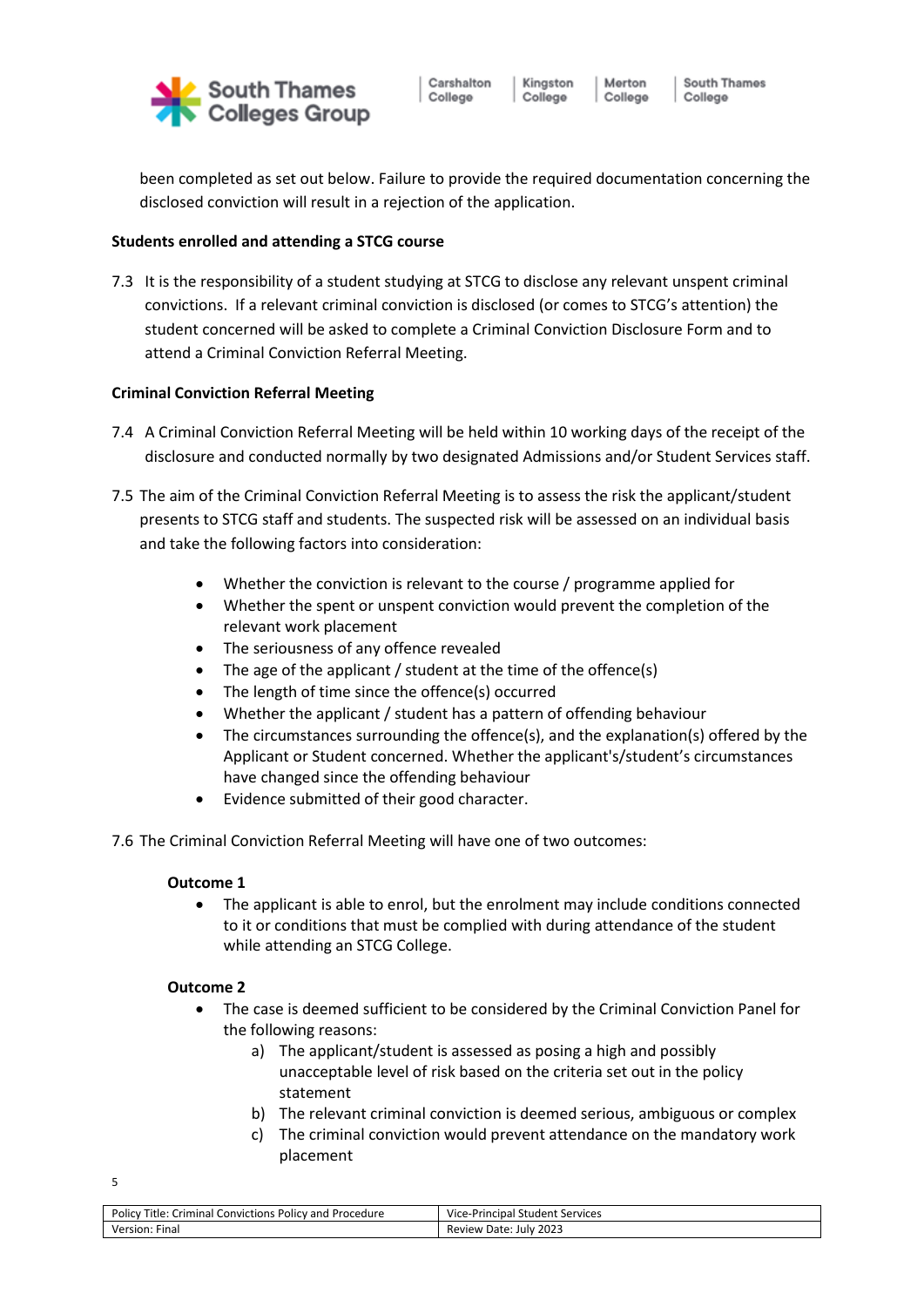

Kingston Merton College

College

been completed as set out below. Failure to provide the required documentation concerning the disclosed conviction will result in a rejection of the application.

## **Students enrolled and attending a STCG course**

7.3 It is the responsibility of a student studying at STCG to disclose any relevant unspent criminal convictions. If a relevant criminal conviction is disclosed (or comes to STCG's attention) the student concerned will be asked to complete a Criminal Conviction Disclosure Form and to attend a Criminal Conviction Referral Meeting.

### **Criminal Conviction Referral Meeting**

- 7.4 A Criminal Conviction Referral Meeting will be held within 10 working days of the receipt of the disclosure and conducted normally by two designated Admissions and/or Student Services staff.
- 7.5 The aim of the Criminal Conviction Referral Meeting is to assess the risk the applicant/student presents to STCG staff and students. The suspected risk will be assessed on an individual basis and take the following factors into consideration:
	- Whether the conviction is relevant to the course / programme applied for
	- Whether the spent or unspent conviction would prevent the completion of the relevant work placement
	- The seriousness of any offence revealed
	- The age of the applicant / student at the time of the offence(s)
	- The length of time since the offence(s) occurred
	- Whether the applicant / student has a pattern of offending behaviour
	- The circumstances surrounding the offence(s), and the explanation(s) offered by the Applicant or Student concerned. Whether the applicant's/student's circumstances have changed since the offending behaviour
	- Evidence submitted of their good character.
- 7.6 The Criminal Conviction Referral Meeting will have one of two outcomes:

### **Outcome 1**

• The applicant is able to enrol, but the enrolment may include conditions connected to it or conditions that must be complied with during attendance of the student while attending an STCG College.

### **Outcome 2**

- The case is deemed sufficient to be considered by the Criminal Conviction Panel for the following reasons:
	- a) The applicant/student is assessed as posing a high and possibly unacceptable level of risk based on the criteria set out in the policy statement
	- b) The relevant criminal conviction is deemed serious, ambiguous or complex
	- c) The criminal conviction would prevent attendance on the mandatory work placement

| Policy<br>Title:<br>Criminal<br>i Convictions '<br>Procedure<br>Policy and | Vice-Principal<br>l Student Services |
|----------------------------------------------------------------------------|--------------------------------------|
| Version: .<br>Fina.                                                        | 2023<br>Date:<br>Review<br>July      |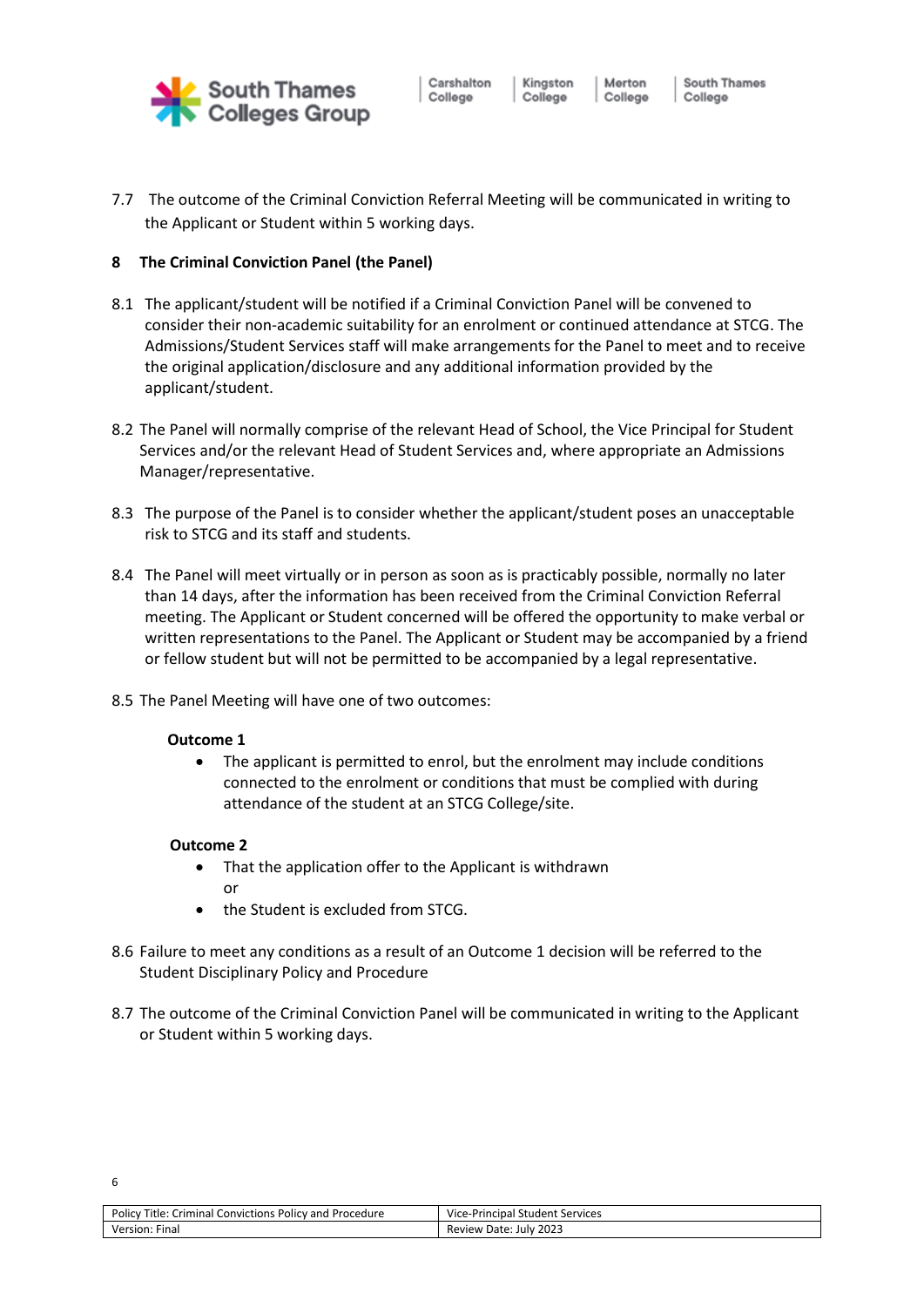

Carshalton College

Merton College

Kingston

College

South Thames College

7.7 The outcome of the Criminal Conviction Referral Meeting will be communicated in writing to the Applicant or Student within 5 working days.

## **8 The Criminal Conviction Panel (the Panel)**

- 8.1 The applicant/student will be notified if a Criminal Conviction Panel will be convened to consider their non-academic suitability for an enrolment or continued attendance at STCG. The Admissions/Student Services staff will make arrangements for the Panel to meet and to receive the original application/disclosure and any additional information provided by the applicant/student.
- 8.2 The Panel will normally comprise of the relevant Head of School, the Vice Principal for Student Services and/or the relevant Head of Student Services and, where appropriate an Admissions Manager/representative.
- 8.3 The purpose of the Panel is to consider whether the applicant/student poses an unacceptable risk to STCG and its staff and students.
- 8.4 The Panel will meet virtually or in person as soon as is practicably possible, normally no later than 14 days, after the information has been received from the Criminal Conviction Referral meeting. The Applicant or Student concerned will be offered the opportunity to make verbal or written representations to the Panel. The Applicant or Student may be accompanied by a friend or fellow student but will not be permitted to be accompanied by a legal representative.
- 8.5 The Panel Meeting will have one of two outcomes:

### **Outcome 1**

• The applicant is permitted to enrol, but the enrolment may include conditions connected to the enrolment or conditions that must be complied with during attendance of the student at an STCG College/site.

### **Outcome 2**

- That the application offer to the Applicant is withdrawn or
- the Student is excluded from STCG.
- 8.6 Failure to meet any conditions as a result of an Outcome 1 decision will be referred to the Student Disciplinary Policy and Procedure
- 8.7 The outcome of the Criminal Conviction Panel will be communicated in writing to the Applicant or Student within 5 working days.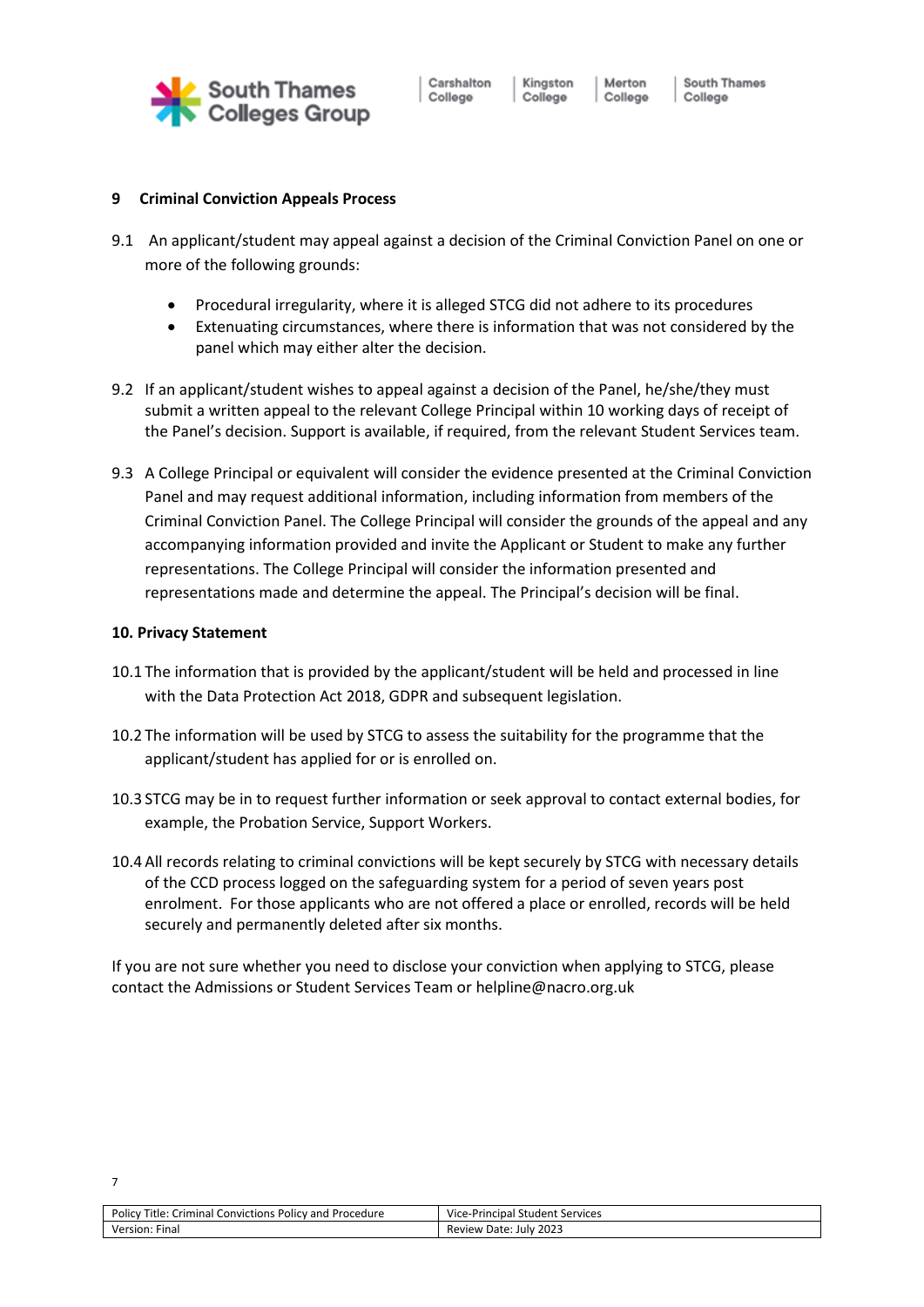

Kingston

College

# **9 Criminal Conviction Appeals Process**

- 9.1 An applicant/student may appeal against a decision of the Criminal Conviction Panel on one or more of the following grounds:
	- Procedural irregularity, where it is alleged STCG did not adhere to its procedures
	- Extenuating circumstances, where there is information that was not considered by the panel which may either alter the decision.
- 9.2 If an applicant/student wishes to appeal against a decision of the Panel, he/she/they must submit a written appeal to the relevant College Principal within 10 working days of receipt of the Panel's decision. Support is available, if required, from the relevant Student Services team.
- 9.3 A College Principal or equivalent will consider the evidence presented at the Criminal Conviction Panel and may request additional information, including information from members of the Criminal Conviction Panel. The College Principal will consider the grounds of the appeal and any accompanying information provided and invite the Applicant or Student to make any further representations. The College Principal will consider the information presented and representations made and determine the appeal. The Principal's decision will be final.

# **10. Privacy Statement**

- 10.1 The information that is provided by the applicant/student will be held and processed in line with the Data Protection Act 2018, GDPR and subsequent legislation.
- 10.2 The information will be used by STCG to assess the suitability for the programme that the applicant/student has applied for or is enrolled on.
- 10.3 STCG may be in to request further information or seek approval to contact external bodies, for example, the Probation Service, Support Workers.
- 10.4 All records relating to criminal convictions will be kept securely by STCG with necessary details of the CCD process logged on the safeguarding system for a period of seven years post enrolment. For those applicants who are not offered a place or enrolled, records will be held securely and permanently deleted after six months.

If you are not sure whether you need to disclose your conviction when applying to STCG, please contact the Admissions or Student Services Team o[r helpline@nacro.org.uk](mailto:resettlement.helpline@nacro.org.uk)

| Title:<br>Policy<br>Criminal<br>l Convictions Policy and Procedure | Vice<br>! Student Services<br>e-Principal: |
|--------------------------------------------------------------------|--------------------------------------------|
| Version.<br>Final                                                  | 2023<br>Date:<br><b>Review</b><br>July     |
|                                                                    |                                            |